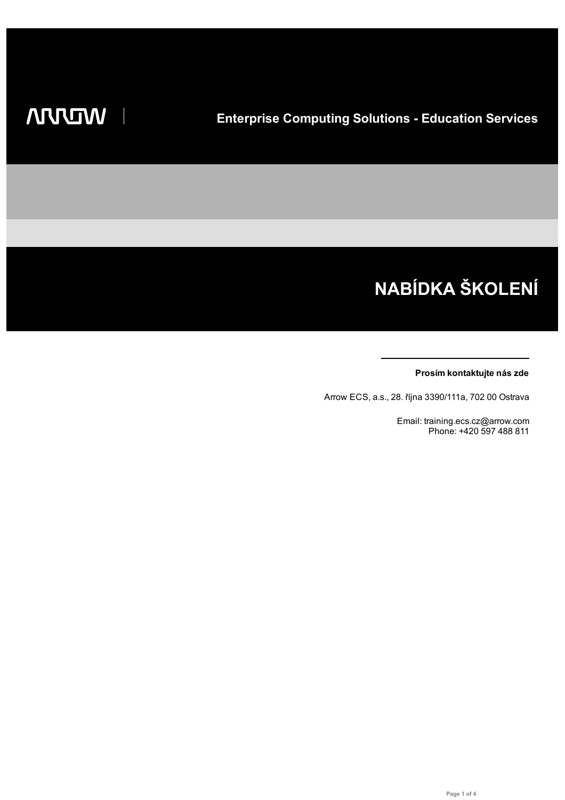# NABÍDKA ŠKOLENÍ

#### Prosím kontaktujte nás zde

Arrow ECS, a.s., 28. října 3390/111a, 702 00 Ostrava

Email: training.ecs.cz@arrow.com Phone: +420 597 488 811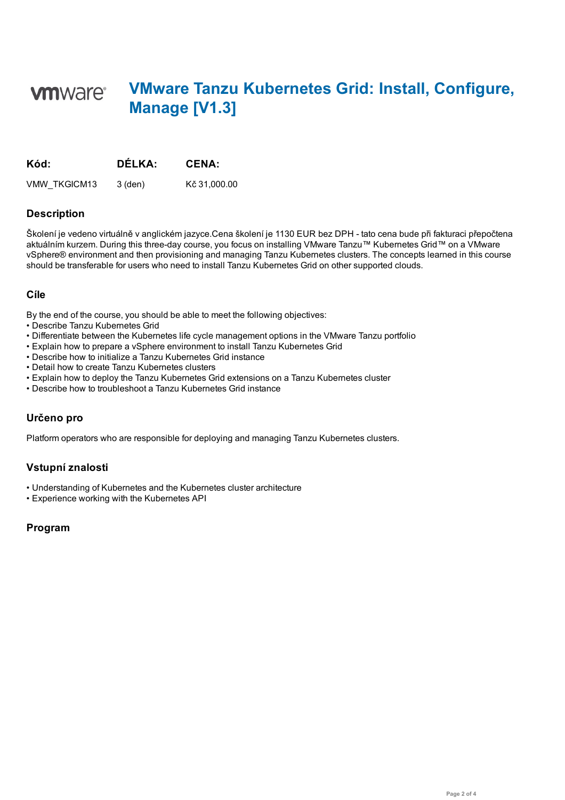## **VMware Tanzu Kubernetes Grid: Install, Configure, vm**ware<sup>®</sup> **Manage [V1.3]**

| Kód:         | DÉLKA:  | <b>CENA:</b> |
|--------------|---------|--------------|
| VMW TKGICM13 | 3 (den) | Kč 31,000.00 |

#### **Description**

Školení je vedeno virtuálně v anglickém jazyce.Cena školení je 1130 EUR bez DPH - tato cena bude při fakturaci přepočtena aktuálním kurzem. During this three-day course, you focus on installing VMware Tanzu™ Kubernetes Grid™ on a VMware vSphere® environment and then provisioning and managing Tanzu Kubernetes clusters. The concepts learned in this course should be transferable for users who need to install Tanzu Kubernetes Grid on other supported clouds.

#### **Cíle**

By the end of the course, you should be able to meet the following objectives:

- Describe Tanzu Kubernetes Grid
- Differentiate between the Kubernetes life cycle management options in the VMware Tanzu portfolio
- Explain how to prepare a vSphere environment to install Tanzu Kubernetes Grid
- Describe how to initialize a Tanzu Kubernetes Grid instance
- Detail how to create Tanzu Kubernetes clusters
- Explain how to deploy the Tanzu Kubernetes Grid extensions on a Tanzu Kubernetes cluster
- Describe how to troubleshoot a Tanzu Kubernetes Grid instance

#### **Určeno pro**

Platform operators who are responsible for deploying and managing Tanzu Kubernetes clusters.

### **Vstupní znalosti**

- Understanding of Kubernetes and the Kubernetes cluster architecture
- Experience working with the Kubernetes API

### **Program**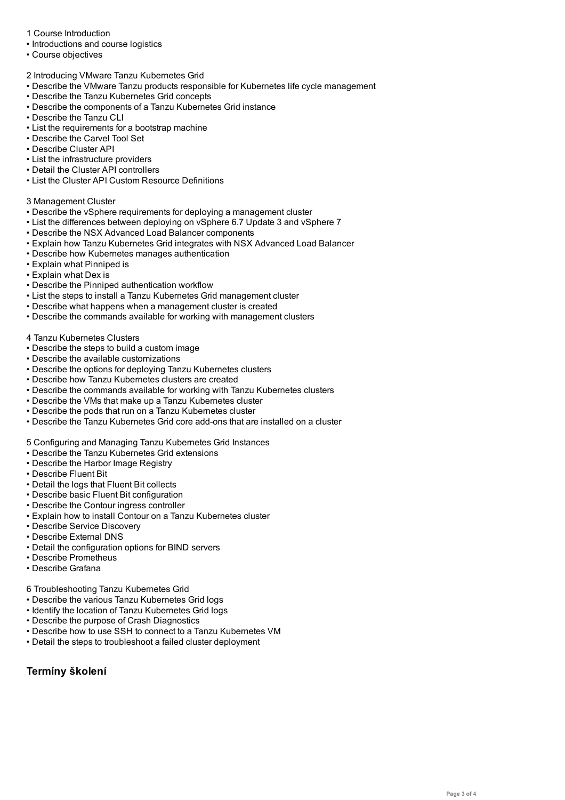- Introductions and course logistics • Course objectives
- 2 Introducing VMware Tanzu Kubernetes Grid
- Describe the VMware Tanzu products responsible for Kubernetes life cycle management
- Describe the Tanzu Kubernetes Grid concepts
- Describe the components of a Tanzu Kubernetes Grid instance
- Describe the Tanzu CLI
- List the requirements for a bootstrap machine
- Describe the Carvel Tool Set
- Describe Cluster API
- List the infrastructure providers
- Detail the Cluster API controllers
- List the Cluster API Custom Resource Definitions

#### 3 Management Cluster

- Describe the vSphere requirements for deploying a management cluster
- List the differences between deploying on vSphere 6.7 Update 3 and vSphere 7
- Describe the NSX Advanced Load Balancer components
- Explain how Tanzu Kubernetes Grid integrates with NSX Advanced Load Balancer
- Describe how Kubernetes manages authentication
- Explain what Pinniped is
- Explain what Dex is
- Describe the Pinniped authentication workflow
- List the steps to install a Tanzu Kubernetes Grid management cluster
- Describe what happens when a management cluster is created
- Describe the commands available for working with management clusters
- 4 Tanzu Kubernetes Clusters
- Describe the steps to build a custom image
- Describe the available customizations
- Describe the options for deploying Tanzu Kubernetes clusters
- Describe how Tanzu Kubernetes clusters are created
- Describe the commands available for working with Tanzu Kubernetes clusters
- Describe the VMs that make up a Tanzu Kubernetes cluster
- Describe the pods that run on a Tanzu Kubernetes cluster
- Describe the Tanzu Kubernetes Grid core add-ons that are installed on a cluster

5 Configuring and Managing Tanzu Kubernetes Grid Instances

- Describe the Tanzu Kubernetes Grid extensions
- Describe the Harbor Image Registry
- Describe Fluent Bit
- Detail the logs that Fluent Bit collects
- Describe basic Fluent Bit configuration
- Describe the Contour ingress controller
- Explain how to install Contour on a Tanzu Kubernetes cluster
- Describe Service Discovery
- Describe External DNS
- Detail the configuration options for BIND servers
- Describe Prometheus
- Describe Grafana
- 6 Troubleshooting Tanzu Kubernetes Grid
- Describe the various Tanzu Kubernetes Grid logs
- Identify the location of Tanzu Kubernetes Grid logs
- Describe the purpose of Crash Diagnostics
- Describe how to use SSH to connect to a Tanzu Kubernetes VM
- Detail the steps to troubleshoot a failed cluster deployment

### **Termíny školení**